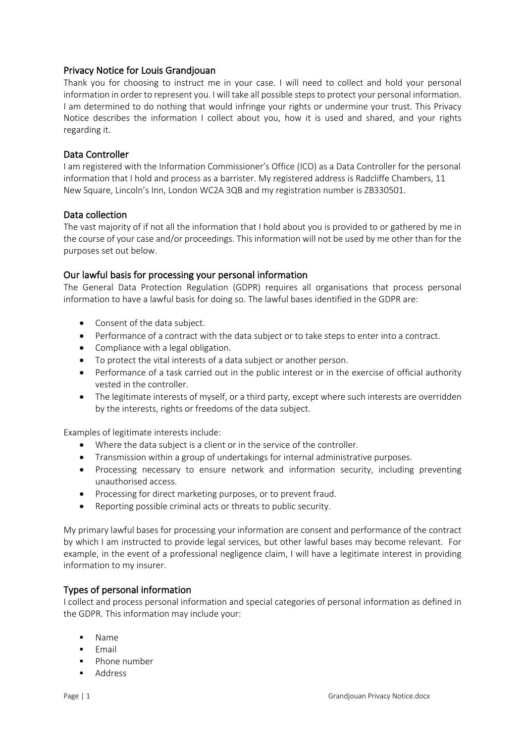## Privacy Notice for Louis Grandjouan

Thank you for choosing to instruct me in your case. I will need to collect and hold your personal information in order to represent you. I will take all possible stepsto protect your personal information. I am determined to do nothing that would infringe your rights or undermine your trust. This Privacy Notice describes the information I collect about you, how it is used and shared, and your rights regarding it.

### Data Controller

I am registered with the Information Commissioner's Office (ICO) as a Data Controller for the personal information that I hold and process as a barrister. My registered address is Radcliffe Chambers, 11 New Square, Lincoln's Inn, London WC2A 3QB and my registration number is ZB330501.

### Data collection

The vast majority of if not all the information that I hold about you is provided to or gathered by me in the course of your case and/or proceedings. This information will not be used by me other than for the purposes set out below.

# Our lawful basis for processing your personal information

The General Data Protection Regulation (GDPR) requires all organisations that process personal information to have a lawful basis for doing so. The lawful bases identified in the GDPR are:

- Consent of the data subject.
- Performance of a contract with the data subject or to take steps to enter into a contract.
- Compliance with a legal obligation.
- To protect the vital interests of a data subject or another person.
- Performance of a task carried out in the public interest or in the exercise of official authority vested in the controller.
- The legitimate interests of myself, or a third party, except where such interests are overridden by the interests, rights or freedoms of the data subject.

Examples of legitimate interests include:

- Where the data subject is a client or in the service of the controller.
- Transmission within a group of undertakings for internal administrative purposes.
- Processing necessary to ensure network and information security, including preventing unauthorised access.
- Processing for direct marketing purposes, or to prevent fraud.
- Reporting possible criminal acts or threats to public security.

My primary lawful bases for processing your information are consent and performance of the contract by which I am instructed to provide legal services, but other lawful bases may become relevant. For example, in the event of a professional negligence claim, I will have a legitimate interest in providing information to my insurer.

### Types of personal information

I collect and process personal information and special categories of personal information as defined in the GDPR. This information may include your:

- § Name
- § Email
- § Phone number
- Address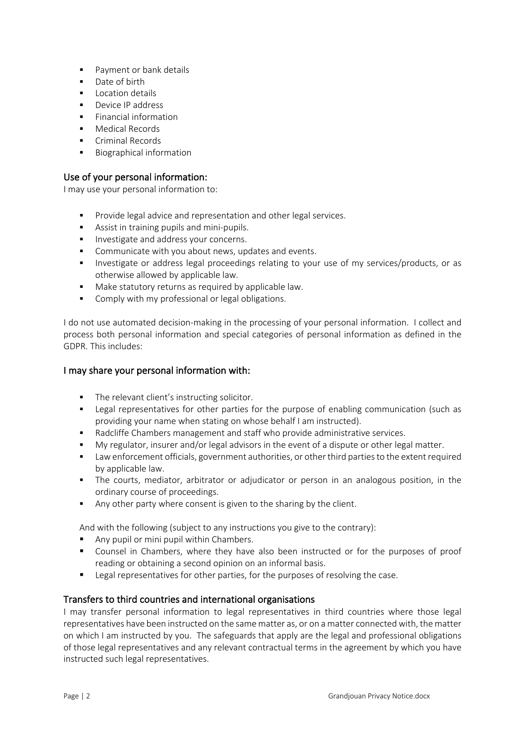- Payment or bank details
- Date of birth
- Location details
- Device IP address
- § Financial information
- § Medical Records
- § Criminal Records
- Biographical information

# Use of your personal information:

I may use your personal information to:

- Provide legal advice and representation and other legal services.
- Assist in training pupils and mini-pupils.
- **■** Investigate and address your concerns.
- Communicate with you about news, updates and events.
- Investigate or address legal proceedings relating to your use of my services/products, or as otherwise allowed by applicable law.
- Make statutory returns as required by applicable law.
- Comply with my professional or legal obligations.

I do not use automated decision-making in the processing of your personal information. I collect and process both personal information and special categories of personal information as defined in the GDPR. This includes:

#### I may share your personal information with:

- The relevant client's instructing solicitor.
- § Legal representatives for other parties for the purpose of enabling communication (such as providing your name when stating on whose behalf I am instructed).
- Radcliffe Chambers management and staff who provide administrative services.
- My regulator, insurer and/or legal advisors in the event of a dispute or other legal matter.
- Law enforcement officials, government authorities, or other third parties to the extent required by applicable law.
- § The courts, mediator, arbitrator or adjudicator or person in an analogous position, in the ordinary course of proceedings.
- Any other party where consent is given to the sharing by the client.

And with the following (subject to any instructions you give to the contrary):

- § Any pupil or mini pupil within Chambers.
- § Counsel in Chambers, where they have also been instructed or for the purposes of proof reading or obtaining a second opinion on an informal basis.
- Legal representatives for other parties, for the purposes of resolving the case.

### Transfers to third countries and international organisations

I may transfer personal information to legal representatives in third countries where those legal representatives have been instructed on the same matter as, or on a matter connectedwith, the matter on which I am instructed by you. The safeguards that apply are the legal and professional obligations of those legal representatives and any relevant contractual terms in the agreement by which you have instructed such legal representatives.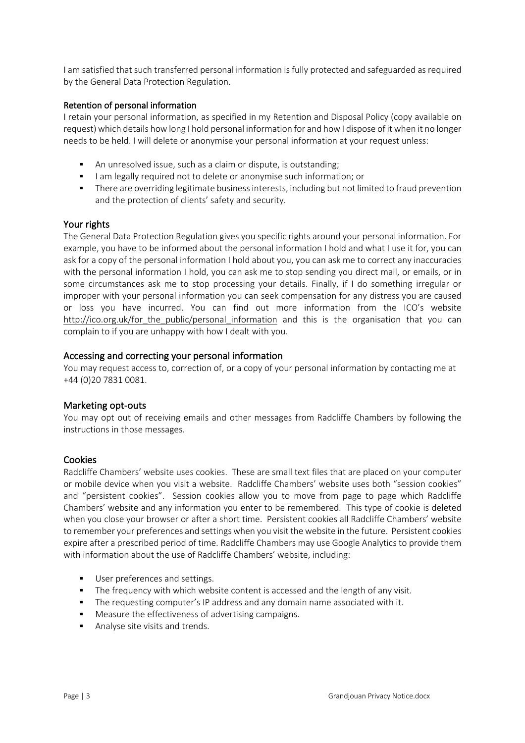I am satisfied that such transferred personal information is fully protected and safeguarded as required by the General Data Protection Regulation.

#### Retention of personal information

I retain your personal information, as specified in my Retention and Disposal Policy (copy available on request) which details how long I hold personal information for and how I dispose of it when it no longer needs to be held. I will delete or anonymise your personal information at your request unless:

- An unresolved issue, such as a claim or dispute, is outstanding;
- I am legally required not to delete or anonymise such information; or
- There are overriding legitimate business interests, including but not limited to fraud prevention and the protection of clients' safety and security.

#### Your rights

The General Data Protection Regulation gives you specific rights around your personal information. For example, you have to be informed about the personal information I hold and what I use it for, you can ask for a copy of the personal information I hold about you, you can ask me to correct any inaccuracies with the personal information I hold, you can ask me to stop sending you direct mail, or emails, or in some circumstances ask me to stop processing your details. Finally, if I do something irregular or improper with your personal information you can seek compensation for any distress you are caused or loss you have incurred. You can find out more information from the ICO's website http://ico.org.uk/for the public/personal information and this is the organisation that you can complain to if you are unhappy with how I dealt with you.

#### Accessing and correcting your personal information

You may request access to, correction of, or a copy of your personal information by contacting me at +44 (0)20 7831 0081.

### Marketing opt-outs

You may opt out of receiving emails and other messages from Radcliffe Chambers by following the instructions in those messages.

### Cookies

Radcliffe Chambers' website uses cookies. These are small text files that are placed on your computer or mobile device when you visit a website. Radcliffe Chambers' website uses both "session cookies" and "persistent cookies". Session cookies allow you to move from page to page which Radcliffe Chambers' website and any information you enter to be remembered. This type of cookie is deleted when you close your browser or after a short time. Persistent cookies all Radcliffe Chambers' website to remember your preferences and settings when you visit the website in the future. Persistent cookies expire after a prescribed period of time. Radcliffe Chambers may use Google Analytics to provide them with information about the use of Radcliffe Chambers' website, including:

- User preferences and settings.
- The frequency with which website content is accessed and the length of any visit.
- **•** The requesting computer's IP address and any domain name associated with it.
- Measure the effectiveness of advertising campaigns.
- Analyse site visits and trends.